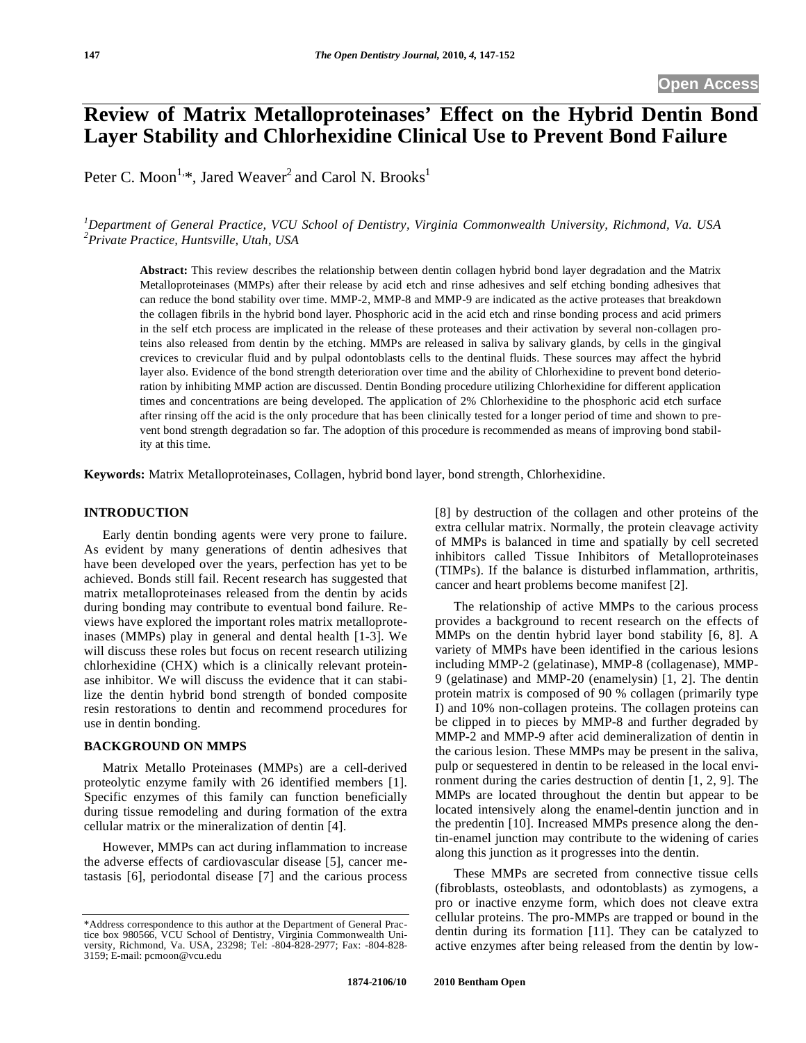# **Review of Matrix Metalloproteinases' Effect on the Hybrid Dentin Bond Layer Stability and Chlorhexidine Clinical Use to Prevent Bond Failure**

Peter C. Moon<sup>1,\*</sup>, Jared Weaver<sup>2</sup> and Carol N. Brooks<sup>1</sup>

*1 Department of General Practice, VCU School of Dentistry, Virginia Commonwealth University, Richmond, Va. USA 2 Private Practice, Huntsville, Utah, USA* 

**Abstract:** This review describes the relationship between dentin collagen hybrid bond layer degradation and the Matrix Metalloproteinases (MMPs) after their release by acid etch and rinse adhesives and self etching bonding adhesives that can reduce the bond stability over time. MMP-2, MMP-8 and MMP-9 are indicated as the active proteases that breakdown the collagen fibrils in the hybrid bond layer. Phosphoric acid in the acid etch and rinse bonding process and acid primers in the self etch process are implicated in the release of these proteases and their activation by several non-collagen proteins also released from dentin by the etching. MMPs are released in saliva by salivary glands, by cells in the gingival crevices to crevicular fluid and by pulpal odontoblasts cells to the dentinal fluids. These sources may affect the hybrid layer also. Evidence of the bond strength deterioration over time and the ability of Chlorhexidine to prevent bond deterioration by inhibiting MMP action are discussed. Dentin Bonding procedure utilizing Chlorhexidine for different application times and concentrations are being developed. The application of 2% Chlorhexidine to the phosphoric acid etch surface after rinsing off the acid is the only procedure that has been clinically tested for a longer period of time and shown to prevent bond strength degradation so far. The adoption of this procedure is recommended as means of improving bond stability at this time.

**Keywords:** Matrix Metalloproteinases, Collagen, hybrid bond layer, bond strength, Chlorhexidine.

### **INTRODUCTION**

Early dentin bonding agents were very prone to failure. As evident by many generations of dentin adhesives that have been developed over the years, perfection has yet to be achieved. Bonds still fail. Recent research has suggested that matrix metalloproteinases released from the dentin by acids during bonding may contribute to eventual bond failure. Reviews have explored the important roles matrix metalloproteinases (MMPs) play in general and dental health [1-3]. We will discuss these roles but focus on recent research utilizing chlorhexidine (CHX) which is a clinically relevant proteinase inhibitor. We will discuss the evidence that it can stabilize the dentin hybrid bond strength of bonded composite resin restorations to dentin and recommend procedures for use in dentin bonding.

## **BACKGROUND ON MMPS**

Matrix Metallo Proteinases (MMPs) are a cell-derived proteolytic enzyme family with 26 identified members [1]. Specific enzymes of this family can function beneficially during tissue remodeling and during formation of the extra cellular matrix or the mineralization of dentin [4].

However, MMPs can act during inflammation to increase the adverse effects of cardiovascular disease [5], cancer metastasis [6], periodontal disease [7] and the carious process [8] by destruction of the collagen and other proteins of the extra cellular matrix. Normally, the protein cleavage activity of MMPs is balanced in time and spatially by cell secreted inhibitors called Tissue Inhibitors of Metalloproteinases (TIMPs). If the balance is disturbed inflammation, arthritis, cancer and heart problems become manifest [2].

The relationship of active MMPs to the carious process provides a background to recent research on the effects of MMPs on the dentin hybrid layer bond stability [6, 8]. A variety of MMPs have been identified in the carious lesions including MMP-2 (gelatinase), MMP-8 (collagenase), MMP-9 (gelatinase) and MMP-20 (enamelysin) [1, 2]. The dentin protein matrix is composed of 90 % collagen (primarily type I) and 10% non-collagen proteins. The collagen proteins can be clipped in to pieces by MMP-8 and further degraded by MMP-2 and MMP-9 after acid demineralization of dentin in the carious lesion. These MMPs may be present in the saliva, pulp or sequestered in dentin to be released in the local environment during the caries destruction of dentin [1, 2, 9]. The MMPs are located throughout the dentin but appear to be located intensively along the enamel-dentin junction and in the predentin [10]. Increased MMPs presence along the dentin-enamel junction may contribute to the widening of caries along this junction as it progresses into the dentin.

These MMPs are secreted from connective tissue cells (fibroblasts, osteoblasts, and odontoblasts) as zymogens, a pro or inactive enzyme form, which does not cleave extra cellular proteins. The pro-MMPs are trapped or bound in the dentin during its formation [11]. They can be catalyzed to active enzymes after being released from the dentin by low-

<sup>\*</sup>Address correspondence to this author at the Department of General Practice box 980566, VCU School of Dentistry, Virginia Commonwealth University, Richmond, Va. USA, 23298; Tel: -804-828-2977; Fax: -804-828- 3159; E-mail: pcmoon@vcu.edu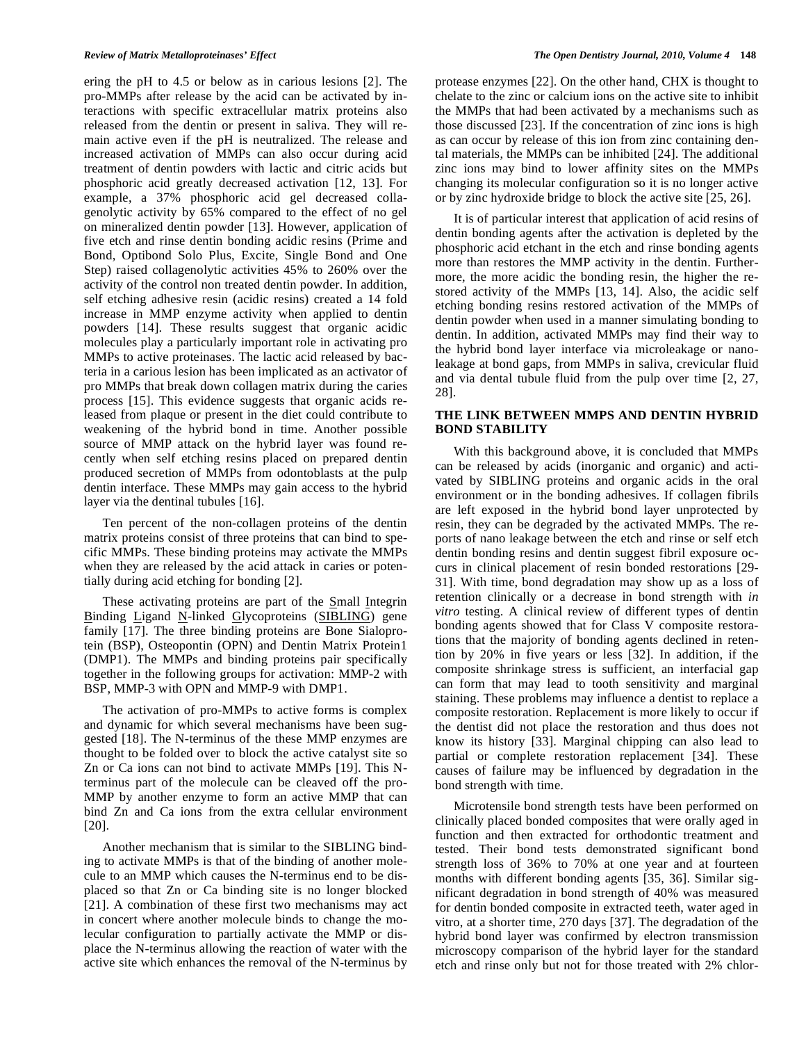ering the pH to 4.5 or below as in carious lesions [2]. The pro-MMPs after release by the acid can be activated by interactions with specific extracellular matrix proteins also released from the dentin or present in saliva. They will remain active even if the pH is neutralized. The release and increased activation of MMPs can also occur during acid treatment of dentin powders with lactic and citric acids but phosphoric acid greatly decreased activation [12, 13]. For example, a 37% phosphoric acid gel decreased collagenolytic activity by 65% compared to the effect of no gel on mineralized dentin powder [13]. However, application of five etch and rinse dentin bonding acidic resins (Prime and Bond, Optibond Solo Plus, Excite, Single Bond and One Step) raised collagenolytic activities 45% to 260% over the activity of the control non treated dentin powder. In addition, self etching adhesive resin (acidic resins) created a 14 fold increase in MMP enzyme activity when applied to dentin powders [14]. These results suggest that organic acidic molecules play a particularly important role in activating pro MMPs to active proteinases. The lactic acid released by bacteria in a carious lesion has been implicated as an activator of pro MMPs that break down collagen matrix during the caries process [15]. This evidence suggests that organic acids released from plaque or present in the diet could contribute to weakening of the hybrid bond in time. Another possible source of MMP attack on the hybrid layer was found recently when self etching resins placed on prepared dentin produced secretion of MMPs from odontoblasts at the pulp dentin interface. These MMPs may gain access to the hybrid layer via the dentinal tubules [16].

Ten percent of the non-collagen proteins of the dentin matrix proteins consist of three proteins that can bind to specific MMPs. These binding proteins may activate the MMPs when they are released by the acid attack in caries or potentially during acid etching for bonding [2].

These activating proteins are part of the Small Integrin Binding Ligand N-linked Glycoproteins (SIBLING) gene family [17]. The three binding proteins are Bone Sialoprotein (BSP), Osteopontin (OPN) and Dentin Matrix Protein1 (DMP1). The MMPs and binding proteins pair specifically together in the following groups for activation: MMP-2 with BSP, MMP-3 with OPN and MMP-9 with DMP1.

The activation of pro-MMPs to active forms is complex and dynamic for which several mechanisms have been suggested [18]. The N-terminus of the these MMP enzymes are thought to be folded over to block the active catalyst site so Zn or Ca ions can not bind to activate MMPs [19]. This Nterminus part of the molecule can be cleaved off the pro-MMP by another enzyme to form an active MMP that can bind Zn and Ca ions from the extra cellular environment [20].

Another mechanism that is similar to the SIBLING binding to activate MMPs is that of the binding of another molecule to an MMP which causes the N-terminus end to be displaced so that Zn or Ca binding site is no longer blocked [21]. A combination of these first two mechanisms may act in concert where another molecule binds to change the molecular configuration to partially activate the MMP or displace the N-terminus allowing the reaction of water with the active site which enhances the removal of the N-terminus by protease enzymes [22]. On the other hand, CHX is thought to chelate to the zinc or calcium ions on the active site to inhibit the MMPs that had been activated by a mechanisms such as those discussed [23]. If the concentration of zinc ions is high as can occur by release of this ion from zinc containing dental materials, the MMPs can be inhibited [24]. The additional zinc ions may bind to lower affinity sites on the MMPs changing its molecular configuration so it is no longer active or by zinc hydroxide bridge to block the active site [25, 26].

It is of particular interest that application of acid resins of dentin bonding agents after the activation is depleted by the phosphoric acid etchant in the etch and rinse bonding agents more than restores the MMP activity in the dentin. Furthermore, the more acidic the bonding resin, the higher the restored activity of the MMPs [13, 14]. Also, the acidic self etching bonding resins restored activation of the MMPs of dentin powder when used in a manner simulating bonding to dentin. In addition, activated MMPs may find their way to the hybrid bond layer interface via microleakage or nanoleakage at bond gaps, from MMPs in saliva, crevicular fluid and via dental tubule fluid from the pulp over time [2, 27, 28].

### **THE LINK BETWEEN MMPS AND DENTIN HYBRID BOND STABILITY**

With this background above, it is concluded that MMPs can be released by acids (inorganic and organic) and activated by SIBLING proteins and organic acids in the oral environment or in the bonding adhesives. If collagen fibrils are left exposed in the hybrid bond layer unprotected by resin, they can be degraded by the activated MMPs. The reports of nano leakage between the etch and rinse or self etch dentin bonding resins and dentin suggest fibril exposure occurs in clinical placement of resin bonded restorations [29- 31]. With time, bond degradation may show up as a loss of retention clinically or a decrease in bond strength with *in vitro* testing. A clinical review of different types of dentin bonding agents showed that for Class V composite restorations that the majority of bonding agents declined in retention by 20% in five years or less [32]. In addition, if the composite shrinkage stress is sufficient, an interfacial gap can form that may lead to tooth sensitivity and marginal staining. These problems may influence a dentist to replace a composite restoration. Replacement is more likely to occur if the dentist did not place the restoration and thus does not know its history [33]. Marginal chipping can also lead to partial or complete restoration replacement [34]. These causes of failure may be influenced by degradation in the bond strength with time.

Microtensile bond strength tests have been performed on clinically placed bonded composites that were orally aged in function and then extracted for orthodontic treatment and tested. Their bond tests demonstrated significant bond strength loss of 36% to 70% at one year and at fourteen months with different bonding agents [35, 36]. Similar significant degradation in bond strength of 40% was measured for dentin bonded composite in extracted teeth, water aged in vitro, at a shorter time, 270 days [37]. The degradation of the hybrid bond layer was confirmed by electron transmission microscopy comparison of the hybrid layer for the standard etch and rinse only but not for those treated with 2% chlor-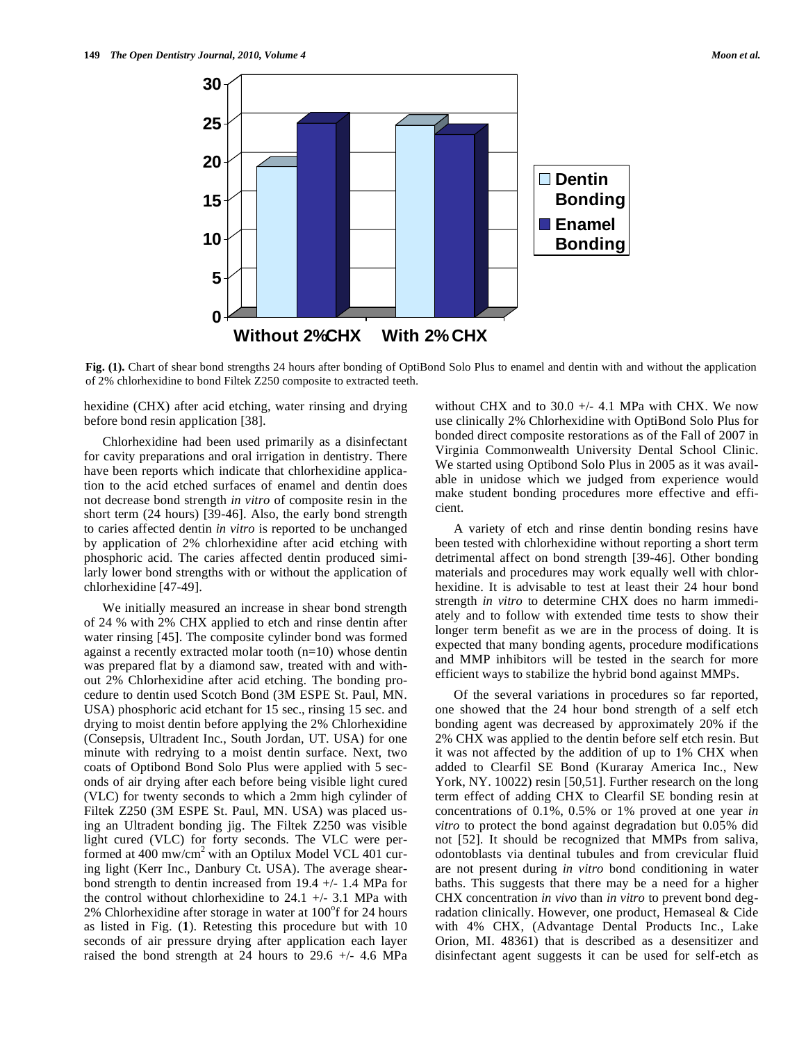

**Fig. (1).** Chart of shear bond strengths 24 hours after bonding of OptiBond Solo Plus to enamel and dentin with and without the application of 2% chlorhexidine to bond Filtek Z250 composite to extracted teeth.

hexidine (CHX) after acid etching, water rinsing and drying before bond resin application [38].

Chlorhexidine had been used primarily as a disinfectant for cavity preparations and oral irrigation in dentistry. There have been reports which indicate that chlorhexidine application to the acid etched surfaces of enamel and dentin does not decrease bond strength *in vitro* of composite resin in the short term (24 hours) [39-46]. Also, the early bond strength to caries affected dentin *in vitro* is reported to be unchanged by application of 2% chlorhexidine after acid etching with phosphoric acid. The caries affected dentin produced similarly lower bond strengths with or without the application of chlorhexidine [47-49].

We initially measured an increase in shear bond strength of 24 % with 2% CHX applied to etch and rinse dentin after water rinsing [45]. The composite cylinder bond was formed against a recently extracted molar tooth (n=10) whose dentin was prepared flat by a diamond saw, treated with and without 2% Chlorhexidine after acid etching. The bonding procedure to dentin used Scotch Bond (3M ESPE St. Paul, MN. USA) phosphoric acid etchant for 15 sec., rinsing 15 sec. and drying to moist dentin before applying the 2% Chlorhexidine (Consepsis, Ultradent Inc., South Jordan, UT. USA) for one minute with redrying to a moist dentin surface. Next, two coats of Optibond Bond Solo Plus were applied with 5 seconds of air drying after each before being visible light cured (VLC) for twenty seconds to which a 2mm high cylinder of Filtek Z250 (3M ESPE St. Paul, MN. USA) was placed using an Ultradent bonding jig. The Filtek Z250 was visible light cured (VLC) for forty seconds. The VLC were performed at 400 mw/cm<sup>2</sup> with an Optilux Model VCL 401 curing light (Kerr Inc., Danbury Ct. USA). The average shearbond strength to dentin increased from 19.4 +/- 1.4 MPa for the control without chlorhexidine to 24.1 +/- 3.1 MPa with 2% Chlorhexidine after storage in water at 100°f for 24 hours as listed in Fig. (**1**). Retesting this procedure but with 10 seconds of air pressure drying after application each layer raised the bond strength at 24 hours to 29.6 +/- 4.6 MPa

without CHX and to  $30.0 +/- 4.1$  MPa with CHX. We now use clinically 2% Chlorhexidine with OptiBond Solo Plus for bonded direct composite restorations as of the Fall of 2007 in Virginia Commonwealth University Dental School Clinic. We started using Optibond Solo Plus in 2005 as it was available in unidose which we judged from experience would make student bonding procedures more effective and efficient.

A variety of etch and rinse dentin bonding resins have been tested with chlorhexidine without reporting a short term detrimental affect on bond strength [39-46]. Other bonding materials and procedures may work equally well with chlorhexidine. It is advisable to test at least their 24 hour bond strength *in vitro* to determine CHX does no harm immediately and to follow with extended time tests to show their longer term benefit as we are in the process of doing. It is expected that many bonding agents, procedure modifications and MMP inhibitors will be tested in the search for more efficient ways to stabilize the hybrid bond against MMPs.

Of the several variations in procedures so far reported, one showed that the 24 hour bond strength of a self etch bonding agent was decreased by approximately 20% if the 2% CHX was applied to the dentin before self etch resin. But it was not affected by the addition of up to 1% CHX when added to Clearfil SE Bond (Kuraray America Inc., New York, NY. 10022) resin [50,51]. Further research on the long term effect of adding CHX to Clearfil SE bonding resin at concentrations of 0.1%, 0.5% or 1% proved at one year *in vitro* to protect the bond against degradation but 0.05% did not [52]. It should be recognized that MMPs from saliva, odontoblasts via dentinal tubules and from crevicular fluid are not present during *in vitro* bond conditioning in water baths. This suggests that there may be a need for a higher CHX concentration *in vivo* than *in vitro* to prevent bond degradation clinically. However, one product, Hemaseal & Cide with 4% CHX, (Advantage Dental Products Inc., Lake Orion, MI. 48361) that is described as a desensitizer and disinfectant agent suggests it can be used for self-etch as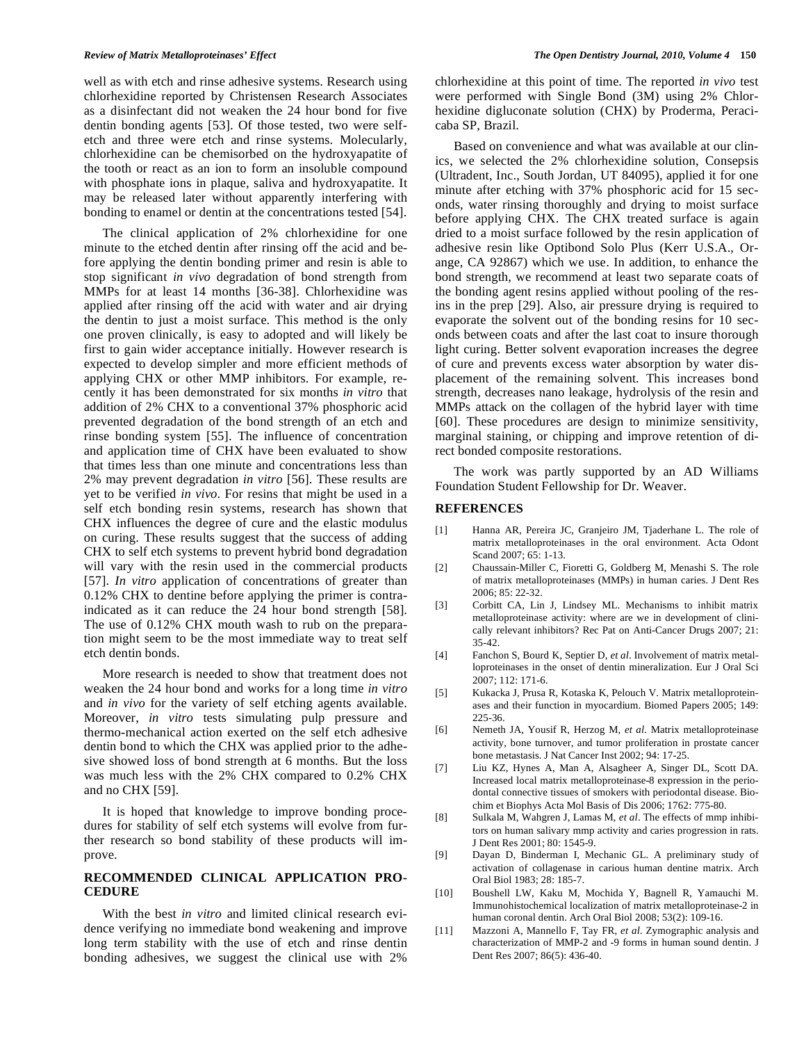well as with etch and rinse adhesive systems. Research using chlorhexidine reported by Christensen Research Associates as a disinfectant did not weaken the 24 hour bond for five dentin bonding agents [53]. Of those tested, two were selfetch and three were etch and rinse systems. Molecularly, chlorhexidine can be chemisorbed on the hydroxyapatite of the tooth or react as an ion to form an insoluble compound with phosphate ions in plaque, saliva and hydroxyapatite. It may be released later without apparently interfering with bonding to enamel or dentin at the concentrations tested [54].

The clinical application of 2% chlorhexidine for one minute to the etched dentin after rinsing off the acid and before applying the dentin bonding primer and resin is able to stop significant *in vivo* degradation of bond strength from MMPs for at least 14 months [36-38]. Chlorhexidine was applied after rinsing off the acid with water and air drying the dentin to just a moist surface. This method is the only one proven clinically, is easy to adopted and will likely be first to gain wider acceptance initially. However research is expected to develop simpler and more efficient methods of applying CHX or other MMP inhibitors. For example, recently it has been demonstrated for six months *in vitro* that addition of 2% CHX to a conventional 37% phosphoric acid prevented degradation of the bond strength of an etch and rinse bonding system [55]. The influence of concentration and application time of CHX have been evaluated to show that times less than one minute and concentrations less than 2% may prevent degradation *in vitro* [56]. These results are yet to be verified *in vivo*. For resins that might be used in a self etch bonding resin systems, research has shown that CHX influences the degree of cure and the elastic modulus on curing. These results suggest that the success of adding CHX to self etch systems to prevent hybrid bond degradation will vary with the resin used in the commercial products [57]. *In vitro* application of concentrations of greater than 0.12% CHX to dentine before applying the primer is contraindicated as it can reduce the 24 hour bond strength [58]. The use of 0.12% CHX mouth wash to rub on the preparation might seem to be the most immediate way to treat self etch dentin bonds.

More research is needed to show that treatment does not weaken the 24 hour bond and works for a long time *in vitro*  and *in vivo* for the variety of self etching agents available. Moreover, *in vitro* tests simulating pulp pressure and thermo-mechanical action exerted on the self etch adhesive dentin bond to which the CHX was applied prior to the adhesive showed loss of bond strength at 6 months. But the loss was much less with the 2% CHX compared to 0.2% CHX and no CHX [59].

It is hoped that knowledge to improve bonding procedures for stability of self etch systems will evolve from further research so bond stability of these products will improve.

## **RECOMMENDED CLINICAL APPLICATION PRO-CEDURE**

With the best *in vitro* and limited clinical research evidence verifying no immediate bond weakening and improve long term stability with the use of etch and rinse dentin bonding adhesives, we suggest the clinical use with 2%

chlorhexidine at this point of time. The reported *in vivo* test were performed with Single Bond (3M) using 2% Chlorhexidine digluconate solution (CHX) by Proderma, Peracicaba SP, Brazil.

Based on convenience and what was available at our clinics, we selected the 2% chlorhexidine solution, Consepsis (Ultradent, Inc., South Jordan, UT 84095), applied it for one minute after etching with 37% phosphoric acid for 15 seconds, water rinsing thoroughly and drying to moist surface before applying CHX. The CHX treated surface is again dried to a moist surface followed by the resin application of adhesive resin like Optibond Solo Plus (Kerr U.S.A., Orange, CA 92867) which we use. In addition, to enhance the bond strength, we recommend at least two separate coats of the bonding agent resins applied without pooling of the resins in the prep [29]. Also, air pressure drying is required to evaporate the solvent out of the bonding resins for 10 seconds between coats and after the last coat to insure thorough light curing. Better solvent evaporation increases the degree of cure and prevents excess water absorption by water displacement of the remaining solvent. This increases bond strength, decreases nano leakage, hydrolysis of the resin and MMPs attack on the collagen of the hybrid layer with time [60]. These procedures are design to minimize sensitivity, marginal staining, or chipping and improve retention of direct bonded composite restorations.

The work was partly supported by an AD Williams Foundation Student Fellowship for Dr. Weaver.

### **REFERENCES**

- [1] Hanna AR, Pereira JC, Granjeiro JM, Tjaderhane L. The role of matrix metalloproteinases in the oral environment. Acta Odont Scand 2007; 65: 1-13.
- [2] Chaussain-Miller C, Fioretti G, Goldberg M, Menashi S. The role of matrix metalloproteinases (MMPs) in human caries. J Dent Res 2006; 85: 22-32.
- [3] Corbitt CA, Lin J, Lindsey ML. Mechanisms to inhibit matrix metalloproteinase activity: where are we in development of clinically relevant inhibitors? Rec Pat on Anti-Cancer Drugs 2007; 21: 35-42.
- [4] Fanchon S, Bourd K, Septier D, *et al*. Involvement of matrix metalloproteinases in the onset of dentin mineralization. Eur J Oral Sci 2007; 112: 171-6.
- [5] Kukacka J, Prusa R, Kotaska K, Pelouch V. Matrix metalloproteinases and their function in myocardium. Biomed Papers 2005; 149: 225-36.
- [6] Nemeth JA, Yousif R, Herzog M, *et al*. Matrix metalloproteinase activity, bone turnover, and tumor proliferation in prostate cancer bone metastasis. J Nat Cancer Inst 2002; 94: 17-25.
- [7] Liu KZ, Hynes A, Man A, Alsagheer A, Singer DL, Scott DA. Increased local matrix metalloproteinase-8 expression in the periodontal connective tissues of smokers with periodontal disease. Biochim et Biophys Acta Mol Basis of Dis 2006; 1762: 775-80.
- [8] Sulkala M, Wahgren J, Lamas M, *et al*. The effects of mmp inhibitors on human salivary mmp activity and caries progression in rats. J Dent Res 2001; 80: 1545-9.
- [9] Dayan D, Binderman I, Mechanic GL. A preliminary study of activation of collagenase in carious human dentine matrix. Arch Oral Biol 1983; 28: 185-7.
- [10] Boushell LW, Kaku M, Mochida Y, Bagnell R, Yamauchi M. Immunohistochemical localization of matrix metalloproteinase-2 in human coronal dentin. Arch Oral Biol 2008; 53(2): 109-16.
- [11] Mazzoni A, Mannello F, Tay FR, *et al*. Zymographic analysis and characterization of MMP-2 and -9 forms in human sound dentin. J Dent Res 2007; 86(5): 436-40.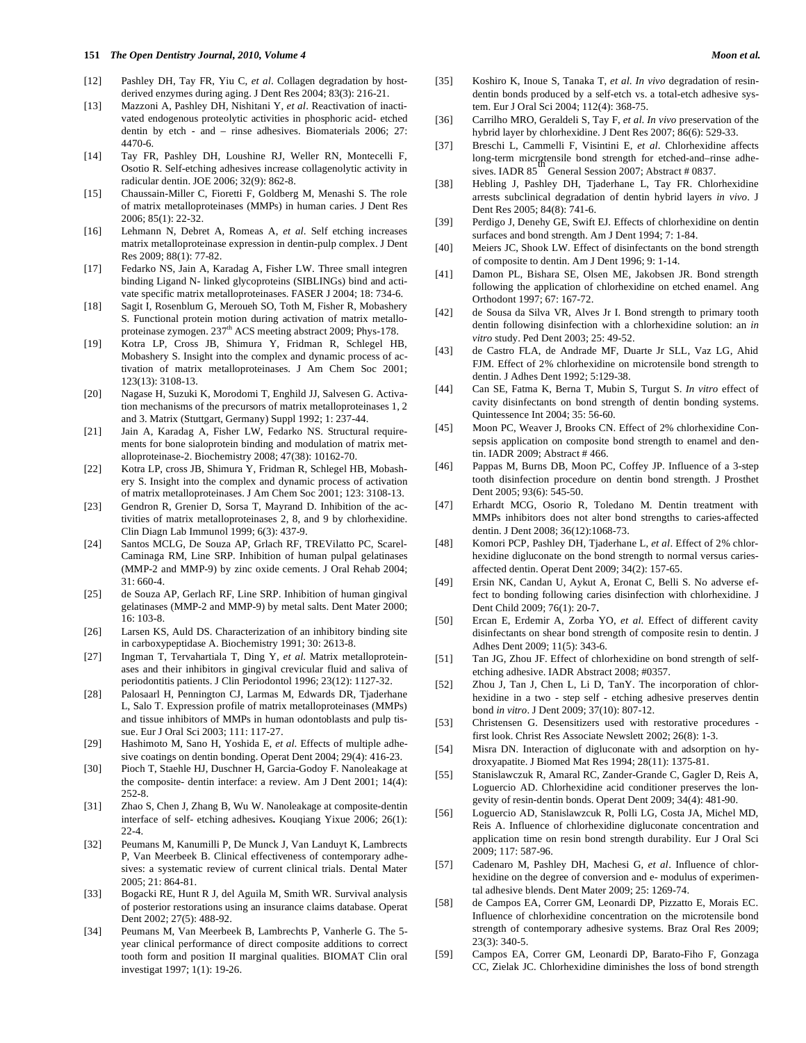### **151** *The Open Dentistry Journal, 2010, Volume 4 Moon et al.*

- [12] Pashley DH, Tay FR, Yiu C, *et al*. Collagen degradation by hostderived enzymes during aging. J Dent Res 2004; 83(3): 216-21.
- [13] Mazzoni A, Pashley DH, Nishitani Y, *et al*. Reactivation of inactivated endogenous proteolytic activities in phosphoric acid- etched dentin by etch - and – rinse adhesives. Biomaterials 2006; 27: 4470-6.
- [14] Tay FR, Pashley DH, Loushine RJ, Weller RN, Montecelli F, Osotio R. Self-etching adhesives increase collagenolytic activity in radicular dentin. JOE 2006; 32(9): 862-8.
- [15] Chaussain-Miller C, Fioretti F, Goldberg M, Menashi S. The role of matrix metalloproteinases (MMPs) in human caries. J Dent Res 2006; 85(1): 22-32.
- [16] Lehmann N, Debret A, Romeas A, *et al*. Self etching increases matrix metalloproteinase expression in dentin-pulp complex. J Dent Res 2009; 88(1): 77-82.
- [17] Fedarko NS, Jain A, Karadag A, Fisher LW. Three small integren binding Ligand N- linked glycoproteins (SIBLINGs) bind and activate specific matrix metalloproteinases. FASER J 2004; 18: 734-6.
- [18] Sagit I, Rosenblum G, Meroueh SO, Toth M, Fisher R, Mobashery S. Functional protein motion during activation of matrix metalloproteinase zymogen. 237<sup>th</sup> ACS meeting abstract 2009; Phys-178.
- [19] Kotra LP, Cross JB, Shimura Y, Fridman R, Schlegel HB, Mobashery S. Insight into the complex and dynamic process of activation of matrix metalloproteinases. J Am Chem Soc 2001; 123(13): 3108-13.
- [20] Nagase H, Suzuki K, Morodomi T, Enghild JJ, Salvesen G. Activation mechanisms of the precursors of matrix metalloproteinases 1, 2 and 3. Matrix (Stuttgart, Germany) Suppl 1992; 1: 237-44.
- [21] Jain A, Karadag A, Fisher LW, Fedarko NS. Structural requirements for bone sialoprotein binding and modulation of matrix metalloproteinase-2. Biochemistry 2008; 47(38): 10162-70.
- [22] Kotra LP, cross JB, Shimura Y, Fridman R, Schlegel HB, Mobashery S. Insight into the complex and dynamic process of activation of matrix metalloproteinases. J Am Chem Soc 2001; 123: 3108-13.
- [23] Gendron R, Grenier D, Sorsa T, Mayrand D. Inhibition of the activities of matrix metalloproteinases 2, 8, and 9 by chlorhexidine. Clin Diagn Lab Immunol 1999; 6(3): 437-9.
- [24] Santos MCLG, De Souza AP, Grlach RF, TREVilatto PC, Scarel-Caminaga RM, Line SRP. Inhibition of human pulpal gelatinases (MMP-2 and MMP-9) by zinc oxide cements. J Oral Rehab 2004; 31: 660-4.
- [25] de Souza AP, Gerlach RF, Line SRP. Inhibition of human gingival gelatinases (MMP-2 and MMP-9) by metal salts. Dent Mater 2000; 16: 103-8.
- [26] Larsen KS, Auld DS. Characterization of an inhibitory binding site in carboxypeptidase A. Biochemistry 1991; 30: 2613-8.
- [27] Ingman T, Tervahartiala T, Ding Y, *et al*. Matrix metalloproteinases and their inhibitors in gingival crevicular fluid and saliva of periodontitis patients. J Clin Periodontol 1996; 23(12): 1127-32.
- [28] Palosaarl H, Pennington CJ, Larmas M, Edwards DR, Tjaderhane L, Salo T. Expression profile of matrix metalloproteinases (MMPs) and tissue inhibitors of MMPs in human odontoblasts and pulp tissue. Eur J Oral Sci 2003; 111: 117-27.
- [29] Hashimoto M, Sano H, Yoshida E, *et al*. Effects of multiple adhesive coatings on dentin bonding. Operat Dent 2004; 29(4): 416-23.
- [30] Pioch T, Staehle HJ, Duschner H, Garcia-Godoy F. Nanoleakage at the composite- dentin interface: a review. Am J Dent 2001; 14(4): 252-8.
- [31] Zhao S, Chen J, Zhang B, Wu W. Nanoleakage at composite-dentin interface of self- etching adhesives**.** Kouqiang Yixue 2006; 26(1): 22-4.
- [32] Peumans M, Kanumilli P, De Munck J, Van Landuyt K, Lambrects P, Van Meerbeek B. Clinical effectiveness of contemporary adhesives: a systematic review of current clinical trials. Dental Mater 2005; 21: 864-81.
- [33] Bogacki RE, Hunt R J, del Aguila M, Smith WR. Survival analysis of posterior restorations using an insurance claims database. Operat Dent 2002; 27(5): 488-92.
- [34] Peumans M, Van Meerbeek B, Lambrechts P, Vanherle G. The 5 year clinical performance of direct composite additions to correct tooth form and position II marginal qualities. BIOMAT Clin oral investigat 1997; 1(1): 19-26.
- [35] Koshiro K, Inoue S, Tanaka T, *et al*. *In vivo* degradation of resindentin bonds produced by a self-etch vs. a total-etch adhesive system. Eur J Oral Sci 2004; 112(4): 368-75.
- [36] Carrilho MRO, Geraldeli S, Tay F, *et al*. *In vivo* preservation of the hybrid layer by chlorhexidine. J Dent Res 2007; 86(6): 529-33.
- [37] Breschi L, Cammelli F, Visintini E, *et al*. Chlorhexidine affects long-term microtensile bond strength for etched-and–rinse adhesives. IADR 85<sup>th</sup> General Session 2007; Abstract # 0837.
- [38] Hebling J, Pashley DH, Tjaderhane L, Tay FR. Chlorhexidine arrests subclinical degradation of dentin hybrid layers *in vivo*. J Dent Res 2005; 84(8): 741-6.
- [39] Perdigo J, Denehy GE, Swift EJ. Effects of chlorhexidine on dentin surfaces and bond strength. Am J Dent 1994; 7: 1-84.
- [40] Meiers JC, Shook LW. Effect of disinfectants on the bond strength of composite to dentin. Am J Dent 1996; 9: 1-14.
- [41] Damon PL, Bishara SE, Olsen ME, Jakobsen JR. Bond strength following the application of chlorhexidine on etched enamel. Ang Orthodont 1997; 67: 167-72.
- [42] de Sousa da Silva VR, Alves Jr I. Bond strength to primary tooth dentin following disinfection with a chlorhexidine solution: an *in vitro* study. Ped Dent 2003; 25: 49-52.
- [43] de Castro FLA, de Andrade MF, Duarte Jr SLL, Vaz LG, Ahid FJM. Effect of 2% chlorhexidine on microtensile bond strength to dentin. J Adhes Dent 1992; 5:129-38.
- [44] Can SE, Fatma K, Berna T, Mubin S, Turgut S. *In vitro* effect of cavity disinfectants on bond strength of dentin bonding systems. Quintessence Int 2004; 35: 56-60.
- [45] Moon PC, Weaver J, Brooks CN. Effect of 2% chlorhexidine Consepsis application on composite bond strength to enamel and dentin. IADR 2009; Abstract # 466.
- [46] Pappas M, Burns DB, Moon PC, Coffey JP. Influence of a 3-step tooth disinfection procedure on dentin bond strength. J Prosthet Dent 2005; 93(6): 545-50.
- [47] Erhardt MCG, Osorio R, Toledano M. Dentin treatment with MMPs inhibitors does not alter bond strengths to caries-affected dentin. J Dent 2008; 36(12):1068-73.
- [48] Komori PCP, Pashley DH, Tjaderhane L, *et al*. Effect of 2% chlorhexidine digluconate on the bond strength to normal versus cariesaffected dentin. Operat Dent 2009; 34(2): 157-65.
- [49] Ersin NK, Candan U, Aykut A, Eronat C, Belli S. No adverse effect to bonding following caries disinfection with chlorhexidine. J Dent Child 2009; 76(1): 20-7. [50] Ercan E, Erdemir A, Zorba YO, *et al*. Effect of different cavity
- disinfectants on shear bond strength of composite resin to dentin. J Adhes Dent 2009; 11(5): 343-6.
- [51] Tan JG, Zhou JF. Effect of chlorhexidine on bond strength of selfetching adhesive. IADR Abstract 2008; #0357.
- [52] Zhou J, Tan J, Chen L, Li D, TanY. The incorporation of chlorhexidine in a two - step self - etching adhesive preserves dentin bond *in vitro*. J Dent 2009; 37(10): 807-12.
- [53] Christensen G. Desensitizers used with restorative procedures first look. Christ Res Associate Newslett 2002; 26(8): 1-3.
- [54] Misra DN. Interaction of digluconate with and adsorption on hydroxyapatite. J Biomed Mat Res 1994; 28(11): 1375-81.
- [55] Stanislawczuk R, Amaral RC, Zander-Grande C, Gagler D, Reis A, Loguercio AD. Chlorhexidine acid conditioner preserves the longevity of resin-dentin bonds. Operat Dent 2009; 34(4): 481-90.
- [56] Loguercio AD, Stanislawzcuk R, Polli LG, Costa JA, Michel MD, Reis A. Influence of chlorhexidine digluconate concentration and application time on resin bond strength durability. Eur J Oral Sci 2009; 117: 587-96.
- [57] Cadenaro M, Pashley DH, Machesi G, *et al*. Influence of chlorhexidine on the degree of conversion and e- modulus of experimental adhesive blends. Dent Mater 2009; 25: 1269-74.
- [58] de Campos EA, Correr GM, Leonardi DP, Pizzatto E, Morais EC. Influence of chlorhexidine concentration on the microtensile bond strength of contemporary adhesive systems. Braz Oral Res 2009; 23(3): 340-5.
- [59] Campos EA, Correr GM, Leonardi DP, Barato-Fiho F, Gonzaga CC, Zielak JC. Chlorhexidine diminishes the loss of bond strength